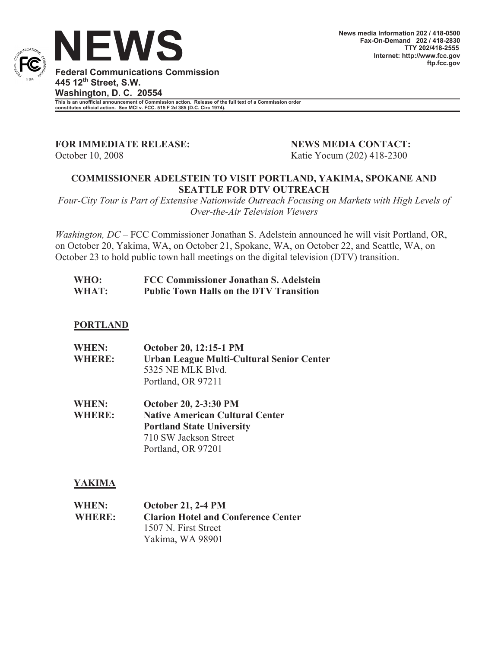

**Federal Communications Commission 445 12th Street, S.W. Washington, D. C. 20554**

**This is an unofficial announcement of Commission action. Release of the full text of a Commission order constitutes official action. See MCI v. FCC. 515 F 2d 385 (D.C. Circ 1974).**

**FOR IMMEDIATE RELEASE: NEWS MEDIA CONTACT:**

October 10, 2008 **Katie Yocum (202) 418-2300** 

## **COMMISSIONER ADELSTEIN TO VISIT PORTLAND, YAKIMA, SPOKANE AND SEATTLE FOR DTV OUTREACH**

*Four-City Tour is Part of Extensive Nationwide Outreach Focusing on Markets with High Levels of Over-the-Air Television Viewers*

*Washington, DC* – FCC Commissioner Jonathan S. Adelstein announced he will visit Portland, OR, on October 20, Yakima, WA, on October 21, Spokane, WA, on October 22, and Seattle, WA, on October 23 to hold public town hall meetings on the digital television (DTV) transition.

| WHO:  | FCC Commissioner Jonathan S. Adelstein         |
|-------|------------------------------------------------|
| WHAT: | <b>Public Town Halls on the DTV Transition</b> |

### **PORTLAND**

| <b>WHEN:</b>  | October 20, 12:15-1 PM                    |
|---------------|-------------------------------------------|
| <b>WHERE:</b> | Urban League Multi-Cultural Senior Center |
|               | 5325 NE MLK Blyd.                         |
|               | Portland, OR 97211                        |

**WHEN: October 20, 2-3:30 PM WHERE: Native American Cultural Center Portland State University** 710 SW Jackson Street Portland, OR 97201

# **YAKIMA**

| <b>WHEN:</b>  | <b>October 21, 2-4 PM</b>                  |
|---------------|--------------------------------------------|
| <b>WHERE:</b> | <b>Clarion Hotel and Conference Center</b> |
|               | 1507 N. First Street                       |
|               | Yakima, WA 98901                           |